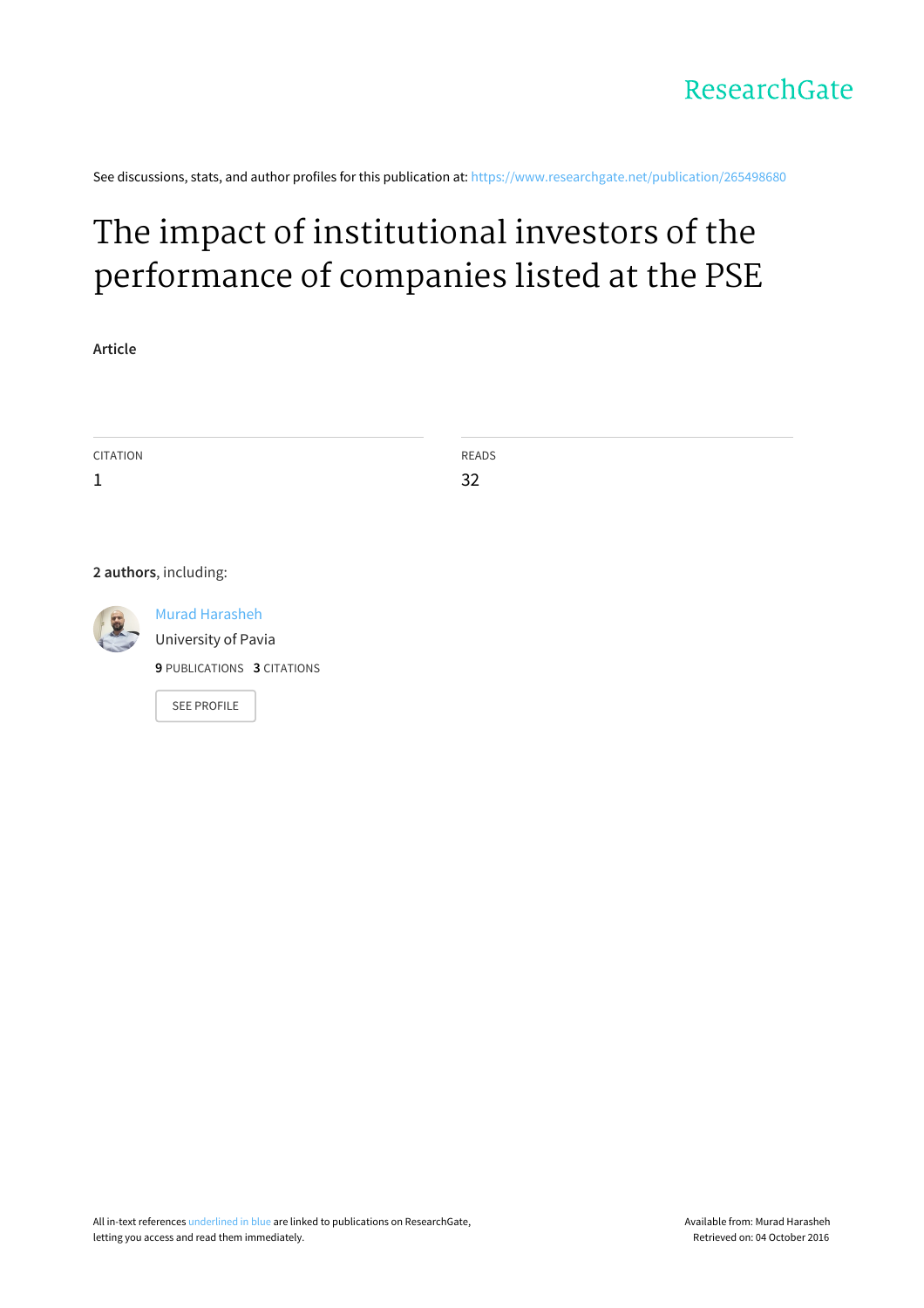See discussions, stats, and author profiles for this publication at: [https://www.researchgate.net/publication/265498680](https://www.researchgate.net/publication/265498680_The_impact_of_institutional_investors_of_the_performance_of_companies_listed_at_the_PSE?enrichId=rgreq-e67575f18e600f659a4dccc5cd1c6526-XXX&enrichSource=Y292ZXJQYWdlOzI2NTQ5ODY4MDtBUzoxNTc3NTA0NzQ1ODQwNjRAMTQxNDYyMjA1Mjc3MA%3D%3D&el=1_x_2)

# The impact of institutional investors of the [performance](https://www.researchgate.net/publication/265498680_The_impact_of_institutional_investors_of_the_performance_of_companies_listed_at_the_PSE?enrichId=rgreq-e67575f18e600f659a4dccc5cd1c6526-XXX&enrichSource=Y292ZXJQYWdlOzI2NTQ5ODY4MDtBUzoxNTc3NTA0NzQ1ODQwNjRAMTQxNDYyMjA1Mjc3MA%3D%3D&el=1_x_3) of companies listed at the PSE

**Article**

| CITATION | READS |
|----------|-------|
| <b>J</b> | 32    |
|          |       |

**2 authors**, including:

Murad [Harasheh](https://www.researchgate.net/profile/Murad_Harasheh?enrichId=rgreq-e67575f18e600f659a4dccc5cd1c6526-XXX&enrichSource=Y292ZXJQYWdlOzI2NTQ5ODY4MDtBUzoxNTc3NTA0NzQ1ODQwNjRAMTQxNDYyMjA1Mjc3MA%3D%3D&el=1_x_5) [University](https://www.researchgate.net/institution/University_of_Pavia?enrichId=rgreq-e67575f18e600f659a4dccc5cd1c6526-XXX&enrichSource=Y292ZXJQYWdlOzI2NTQ5ODY4MDtBUzoxNTc3NTA0NzQ1ODQwNjRAMTQxNDYyMjA1Mjc3MA%3D%3D&el=1_x_6) of Pavia **9** PUBLICATIONS **3** CITATIONS

SEE [PROFILE](https://www.researchgate.net/profile/Murad_Harasheh?enrichId=rgreq-e67575f18e600f659a4dccc5cd1c6526-XXX&enrichSource=Y292ZXJQYWdlOzI2NTQ5ODY4MDtBUzoxNTc3NTA0NzQ1ODQwNjRAMTQxNDYyMjA1Mjc3MA%3D%3D&el=1_x_7)

All in-text references underlined in blue are linked to publications on ResearchGate, letting you access and read them immediately.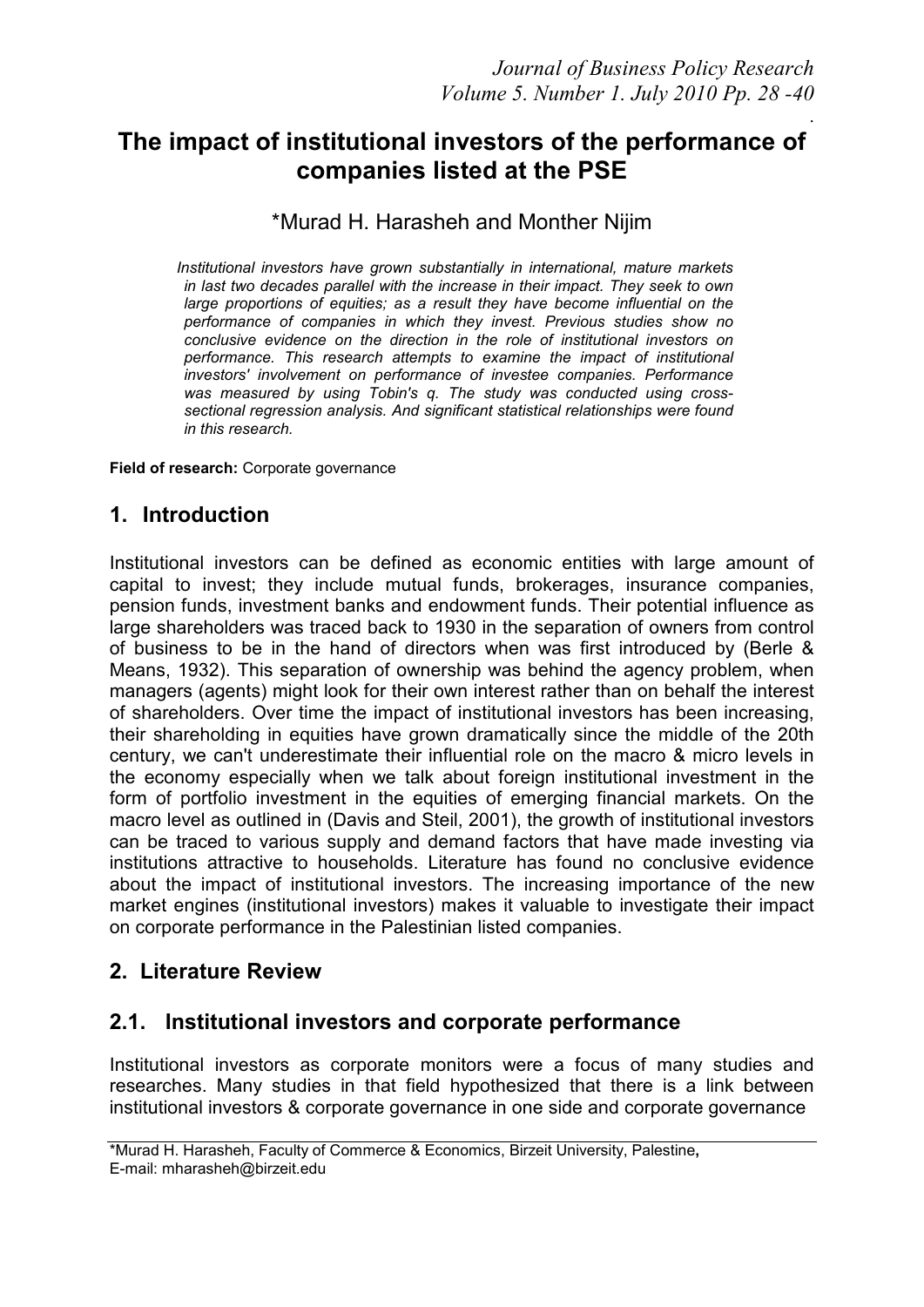### . **The impact of institutional investors of the performance of companies listed at the PSE**

### \*Murad H. Harasheh and Monther Nijim

 *Institutional investors have grown substantially in international, mature markets in last two decades parallel with the increase in their impact. They seek to own large proportions of equities; as a result they have become influential on the performance of companies in which they invest. Previous studies show no conclusive evidence on the direction in the role of institutional investors on performance. This research attempts to examine the impact of institutional investors' involvement on performance of investee companies. Performance was measured by using Tobin's q. The study was conducted using crosssectional regression analysis. And significant statistical relationships were found in this research.* 

**Field of research:** Corporate governance

### **1. Introduction**

Institutional investors can be defined as economic entities with large amount of capital to invest; they include mutual funds, brokerages, insurance companies, pension funds, investment banks and endowment funds. Their potential influence as large shareholders was traced back to 1930 in the separation of owners from control of business to be in the hand of directors when was first introduced by (Berle & Means, 1932). This separation of ownership was behind the agency problem, when managers (agents) might look for their own interest rather than on behalf the interest of shareholders. Over time the impact of institutional investors has been increasing, their shareholding in equities have grown dramatically since the middle of the 20th century, we can't underestimate their influential role on the macro & micro levels in the economy especially when we talk about foreign institutional investment in the form of portfolio investment in the equities of emerging financial markets. On the macro level as outlined in (Davis and Steil, 2001), the growth of institutional investors can be traced to various supply and demand factors that have made investing via institutions attractive to households. Literature has found no conclusive evidence about the impact of institutional investors. The increasing importance of the new market engines (institutional investors) makes it valuable to investigate their impact on corporate performance in the Palestinian listed companies.

### **2. Literature Review**

### **2.1. Institutional investors and corporate performance**

Institutional investors as corporate monitors were a focus of many studies and researches. Many studies in that field hypothesized that there is a link between institutional investors & corporate governance in one side and corporate governance

<sup>\*</sup>Murad H. Harasheh, Faculty of Commerce & Economics, Birzeit University, Palestine**,**  E-mail: mharasheh@birzeit.edu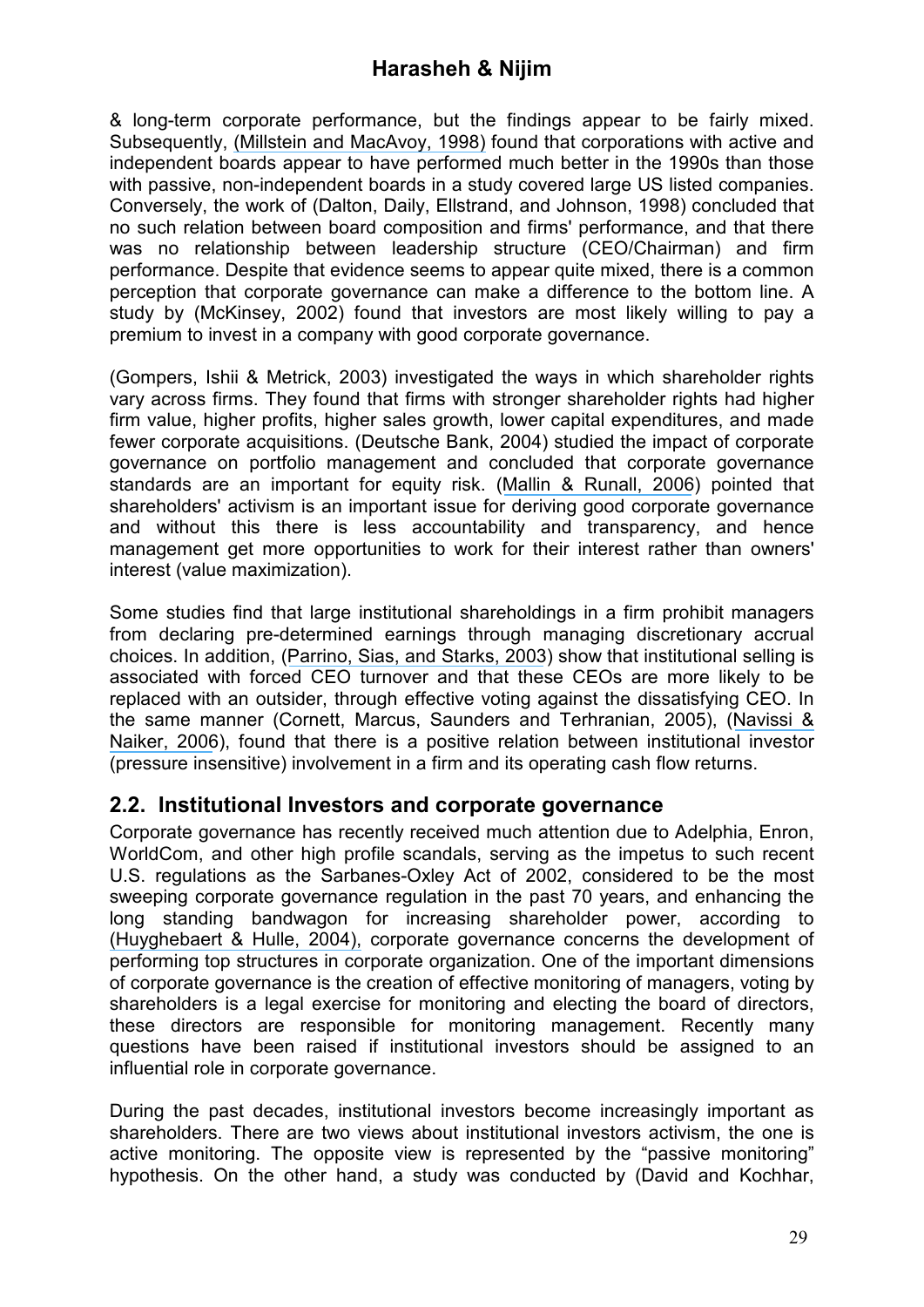& long-term corporate performance, but the findings appear to be fairly mixed. Subsequently, [\(Millstein and MacAvoy, 1998\)](https://www.researchgate.net/publication/227374041_The_Active_Board_of_Directors_and_Its_Effect_on_the_Performance_of_the_Large_Publicly_Traded_Corporation?el=1_x_8&enrichId=rgreq-e67575f18e600f659a4dccc5cd1c6526-XXX&enrichSource=Y292ZXJQYWdlOzI2NTQ5ODY4MDtBUzoxNTc3NTA0NzQ1ODQwNjRAMTQxNDYyMjA1Mjc3MA==) found that corporations with active and independent boards appear to have performed much better in the 1990s than those with passive, non-independent boards in a study covered large US listed companies. Conversely, the work of (Dalton, Daily, Ellstrand, and Johnson, 1998) concluded that no such relation between board composition and firms' performance, and that there was no relationship between leadership structure (CEO/Chairman) and firm performance. Despite that evidence seems to appear quite mixed, there is a common perception that corporate governance can make a difference to the bottom line. A study by (McKinsey, 2002) found that investors are most likely willing to pay a premium to invest in a company with good corporate governance.

(Gompers, Ishii & Metrick, 2003) investigated the ways in which shareholder rights vary across firms. They found that firms with stronger shareholder rights had higher firm value, higher profits, higher sales growth, lower capital expenditures, and made fewer corporate acquisitions. (Deutsche Bank, 2004) studied the impact of corporate governance on portfolio management and concluded that corporate governance standards are an important for equity risk. ([Mallin & Runall, 2006](https://www.researchgate.net/publication/299691681_The_Role_of_Institutional_Investors_in_the_Corporate_Governance_of_Financial_Institutions_the_UK_Case?el=1_x_8&enrichId=rgreq-e67575f18e600f659a4dccc5cd1c6526-XXX&enrichSource=Y292ZXJQYWdlOzI2NTQ5ODY4MDtBUzoxNTc3NTA0NzQ1ODQwNjRAMTQxNDYyMjA1Mjc3MA==)) pointed that shareholders' activism is an important issue for deriving good corporate governance and without this there is less accountability and transparency, and hence management get more opportunities to work for their interest rather than owners' interest (value maximization).

Some studies find that large institutional shareholdings in a firm prohibit managers from declaring pre-determined earnings through managing discretionary accrual choices. In addition, ([Parrino, Sias, and Starks, 2003](https://www.researchgate.net/publication/222673181_Voting_With_Their_Feet_Institutional_Ownership_Changes_Around_Forced_CEO_Turnover?el=1_x_8&enrichId=rgreq-e67575f18e600f659a4dccc5cd1c6526-XXX&enrichSource=Y292ZXJQYWdlOzI2NTQ5ODY4MDtBUzoxNTc3NTA0NzQ1ODQwNjRAMTQxNDYyMjA1Mjc3MA==)) show that institutional selling is associated with forced CEO turnover and that these CEOs are more likely to be replaced with an outsider, through effective voting against the dissatisfying CEO. In the same manner (Cornett, Marcus, Saunders and Terhranian, 2005), ([Navissi &](https://www.researchgate.net/publication/235251472_Institutional_ownership_and_corporate_value?el=1_x_8&enrichId=rgreq-e67575f18e600f659a4dccc5cd1c6526-XXX&enrichSource=Y292ZXJQYWdlOzI2NTQ5ODY4MDtBUzoxNTc3NTA0NzQ1ODQwNjRAMTQxNDYyMjA1Mjc3MA==)  [Naiker, 2006](https://www.researchgate.net/publication/235251472_Institutional_ownership_and_corporate_value?el=1_x_8&enrichId=rgreq-e67575f18e600f659a4dccc5cd1c6526-XXX&enrichSource=Y292ZXJQYWdlOzI2NTQ5ODY4MDtBUzoxNTc3NTA0NzQ1ODQwNjRAMTQxNDYyMjA1Mjc3MA==)), found that there is a positive relation between institutional investor (pressure insensitive) involvement in a firm and its operating cash flow returns.

### **2.2. Institutional Investors and corporate governance**

Corporate governance has recently received much attention due to Adelphia, Enron, WorldCom, and other high profile scandals, serving as the impetus to such recent U.S. regulations as the Sarbanes-Oxley Act of 2002, considered to be the most sweeping corporate governance regulation in the past 70 years, and enhancing the long standing bandwagon for increasing shareholder power, according to [\(Huyghebaert & Hulle, 2004\),](https://www.researchgate.net/publication/227433891_The_Role_of_Institutional_Investors_in_Corporate_Finance?el=1_x_8&enrichId=rgreq-e67575f18e600f659a4dccc5cd1c6526-XXX&enrichSource=Y292ZXJQYWdlOzI2NTQ5ODY4MDtBUzoxNTc3NTA0NzQ1ODQwNjRAMTQxNDYyMjA1Mjc3MA==) corporate governance concerns the development of performing top structures in corporate organization. One of the important dimensions of corporate governance is the creation of effective monitoring of managers, voting by shareholders is a legal exercise for monitoring and electing the board of directors, these directors are responsible for monitoring management. Recently many questions have been raised if institutional investors should be assigned to an influential role in corporate governance.

During the past decades, institutional investors become increasingly important as shareholders. There are two views about institutional investors activism, the one is active monitoring. The opposite view is represented by the "passive monitoring" hypothesis. On the other hand, a study was conducted by (David and Kochhar,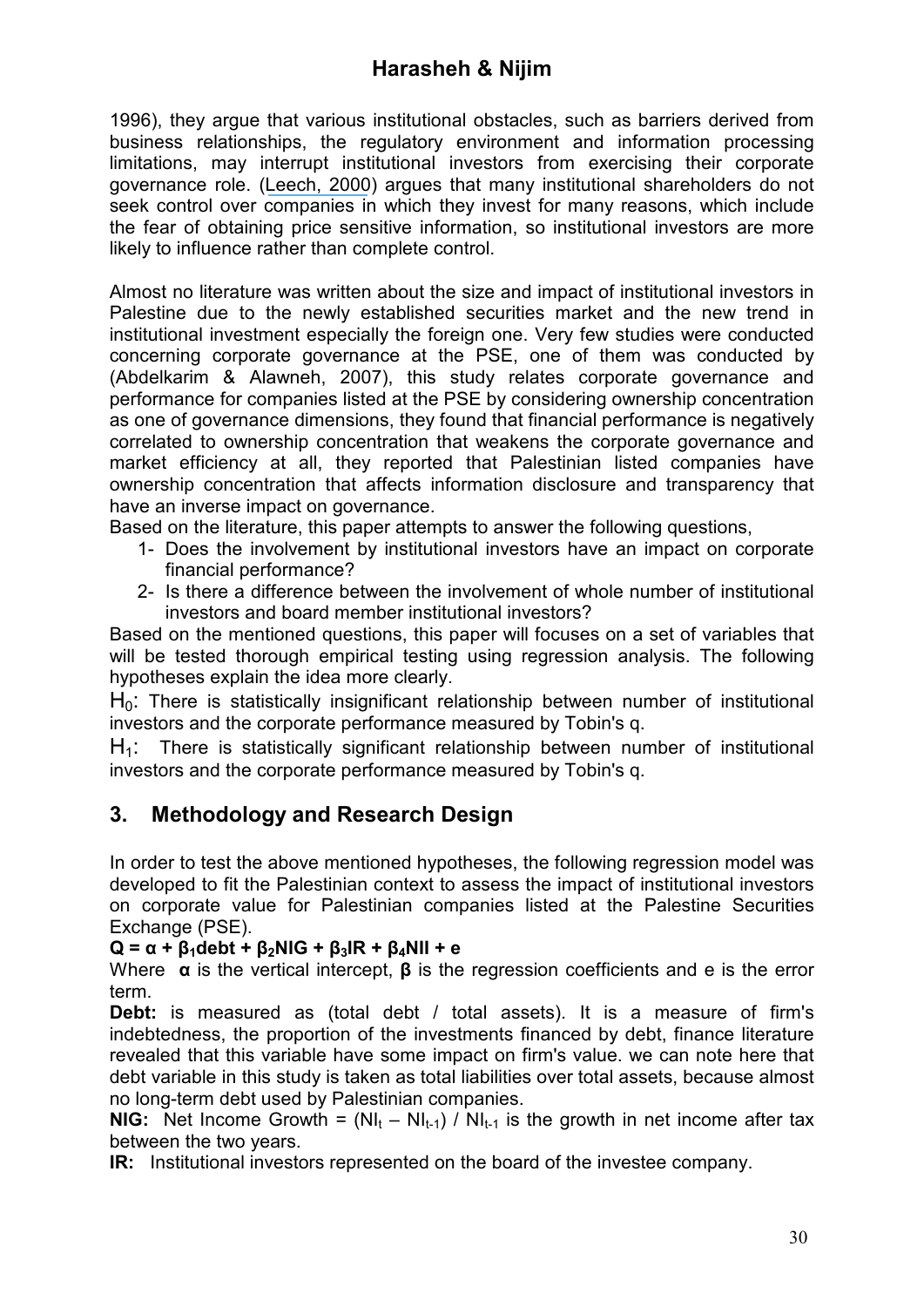1996), they argue that various institutional obstacles, such as barriers derived from business relationships, the regulatory environment and information processing limitations, may interrupt institutional investors from exercising their corporate governance role. ([Leech, 2000](https://www.researchgate.net/publication/23750371_Shareholder_Power_and_Corporate_Governance?el=1_x_8&enrichId=rgreq-e67575f18e600f659a4dccc5cd1c6526-XXX&enrichSource=Y292ZXJQYWdlOzI2NTQ5ODY4MDtBUzoxNTc3NTA0NzQ1ODQwNjRAMTQxNDYyMjA1Mjc3MA==)) argues that many institutional shareholders do not seek control over companies in which they invest for many reasons, which include the fear of obtaining price sensitive information, so institutional investors are more likely to influence rather than complete control.

Almost no literature was written about the size and impact of institutional investors in Palestine due to the newly established securities market and the new trend in institutional investment especially the foreign one. Very few studies were conducted concerning corporate governance at the PSE, one of them was conducted by (Abdelkarim & Alawneh, 2007), this study relates corporate governance and performance for companies listed at the PSE by considering ownership concentration as one of governance dimensions, they found that financial performance is negatively correlated to ownership concentration that weakens the corporate governance and market efficiency at all, they reported that Palestinian listed companies have ownership concentration that affects information disclosure and transparency that have an inverse impact on governance.

Based on the literature, this paper attempts to answer the following questions,

- 1- Does the involvement by institutional investors have an impact on corporate financial performance?
- 2- Is there a difference between the involvement of whole number of institutional investors and board member institutional investors?

Based on the mentioned questions, this paper will focuses on a set of variables that will be tested thorough empirical testing using regression analysis. The following hypotheses explain the idea more clearly.

 $H<sub>0</sub>$ : There is statistically insignificant relationship between number of institutional investors and the corporate performance measured by Tobin's q.

 $H_1$ : There is statistically significant relationship between number of institutional investors and the corporate performance measured by Tobin's q.

# **3. Methodology and Research Design**

In order to test the above mentioned hypotheses, the following regression model was developed to fit the Palestinian context to assess the impact of institutional investors on corporate value for Palestinian companies listed at the Palestine Securities Exchange (PSE).

### **Q = α + β1debt + β2NIG + β3IR + β4NII + е**

Where **α** is the vertical intercept, **β** is the regression coefficients and e is the error term.

**Debt:** is measured as (total debt / total assets). It is a measure of firm's indebtedness, the proportion of the investments financed by debt, finance literature revealed that this variable have some impact on firm's value. we can note here that debt variable in this study is taken as total liabilities over total assets, because almost no long-term debt used by Palestinian companies.

**NIG:** Net Income Growth =  $(NI_t - NI_{t-1}) / NI_{t-1}$  is the growth in net income after tax between the two years.

**IR:** Institutional investors represented on the board of the investee company.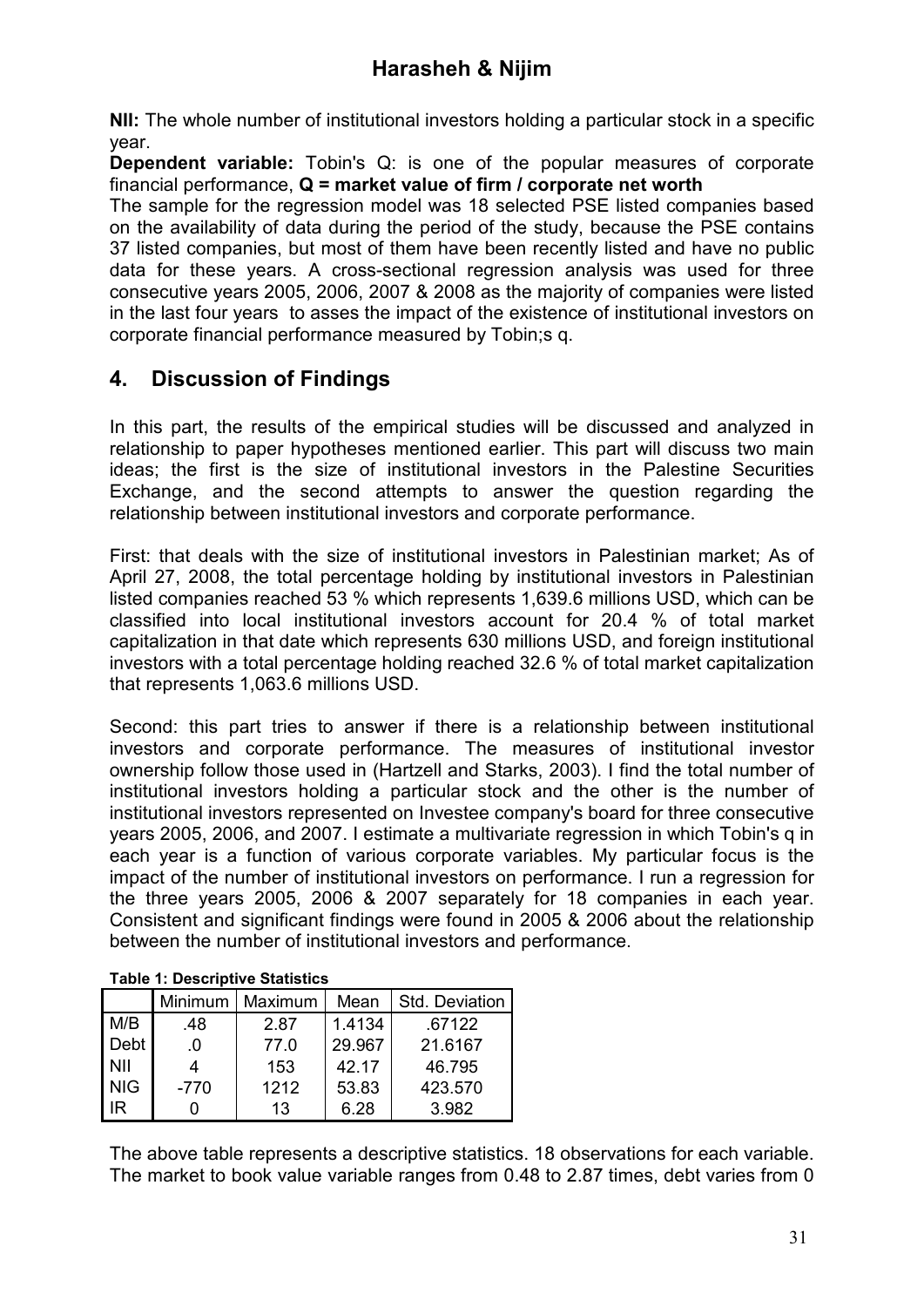**NII:** The whole number of institutional investors holding a particular stock in a specific year.

**Dependent variable:** Tobin's Q: is one of the popular measures of corporate financial performance, **Q = market value of firm / corporate net worth** 

The sample for the regression model was 18 selected PSE listed companies based on the availability of data during the period of the study, because the PSE contains 37 listed companies, but most of them have been recently listed and have no public data for these years. A cross-sectional regression analysis was used for three consecutive years 2005, 2006, 2007 & 2008 as the majority of companies were listed in the last four years to asses the impact of the existence of institutional investors on corporate financial performance measured by Tobin;s q.

# **4. Discussion of Findings**

In this part, the results of the empirical studies will be discussed and analyzed in relationship to paper hypotheses mentioned earlier. This part will discuss two main ideas; the first is the size of institutional investors in the Palestine Securities Exchange, and the second attempts to answer the question regarding the relationship between institutional investors and corporate performance.

First: that deals with the size of institutional investors in Palestinian market; As of April 27, 2008, the total percentage holding by institutional investors in Palestinian listed companies reached 53 % which represents 1,639.6 millions USD, which can be classified into local institutional investors account for 20.4 % of total market capitalization in that date which represents 630 millions USD, and foreign institutional investors with a total percentage holding reached 32.6 % of total market capitalization that represents 1,063.6 millions USD.

Second: this part tries to answer if there is a relationship between institutional investors and corporate performance. The measures of institutional investor ownership follow those used in (Hartzell and Starks, 2003). I find the total number of institutional investors holding a particular stock and the other is the number of institutional investors represented on Investee company's board for three consecutive years 2005, 2006, and 2007. I estimate a multivariate regression in which Tobin's q in each year is a function of various corporate variables. My particular focus is the impact of the number of institutional investors on performance. I run a regression for the three years 2005, 2006 & 2007 separately for 18 companies in each year. Consistent and significant findings were found in 2005 & 2006 about the relationship between the number of institutional investors and performance.

| Table 1. Descriptive Statistics |         |         |        |                |  |  |  |  |
|---------------------------------|---------|---------|--------|----------------|--|--|--|--|
|                                 | Minimum | Maximum | Mean   | Std. Deviation |  |  |  |  |
| M/B                             | .48     | 2.87    | 1.4134 | .67122         |  |  |  |  |
| Debt                            | .0      | 77.0    | 29.967 | 21.6167        |  |  |  |  |
| <b>NII</b>                      | 4       | 153     | 42.17  | 46.795         |  |  |  |  |
| <b>NIG</b>                      | $-770$  | 1212    | 53.83  | 423.570        |  |  |  |  |
| IR                              |         | 13      | 6.28   | 3.982          |  |  |  |  |

The above table represents a descriptive statistics. 18 observations for each variable. The market to book value variable ranges from 0.48 to 2.87 times, debt varies from 0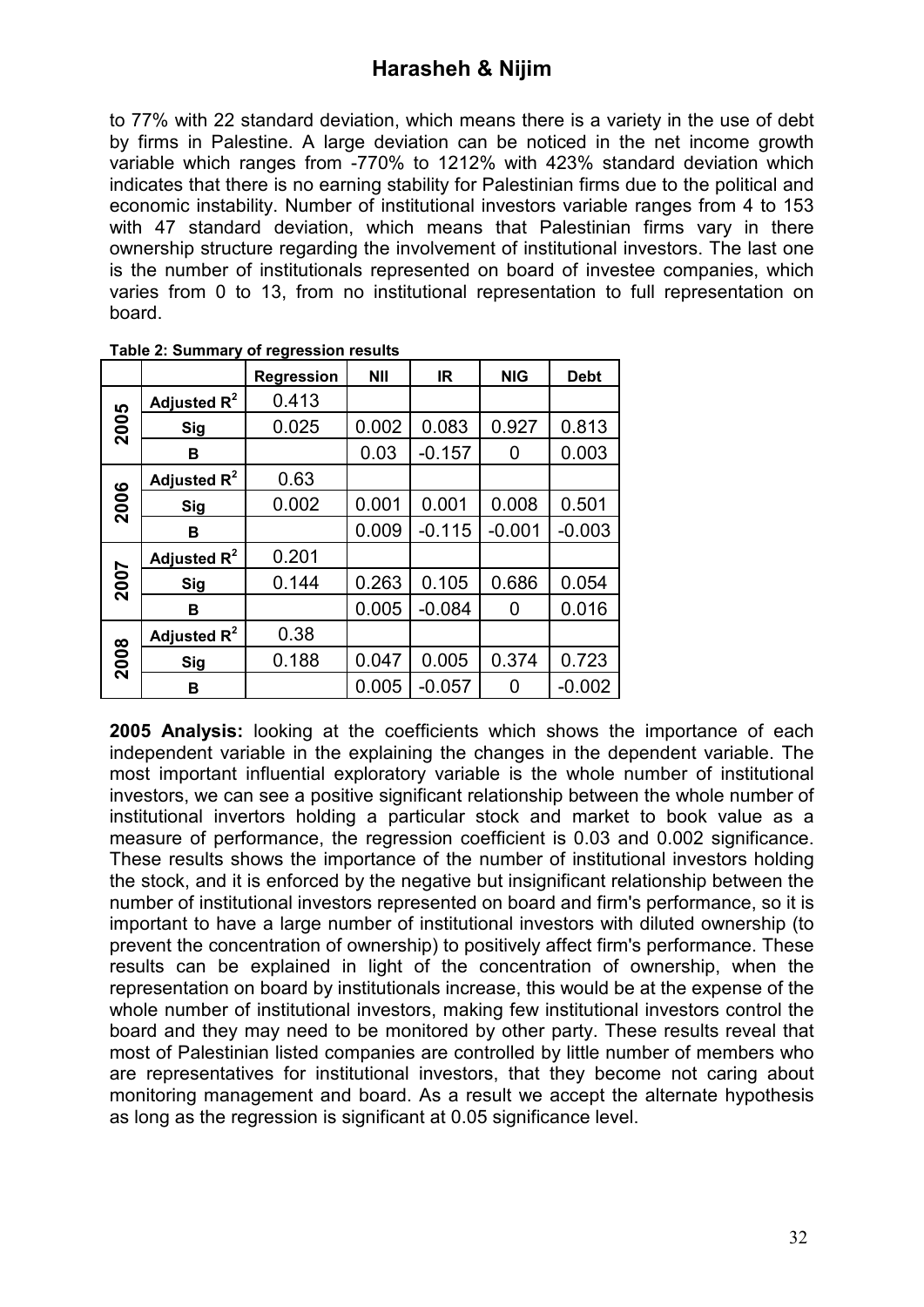to 77% with 22 standard deviation, which means there is a variety in the use of debt by firms in Palestine. A large deviation can be noticed in the net income growth variable which ranges from -770% to 1212% with 423% standard deviation which indicates that there is no earning stability for Palestinian firms due to the political and economic instability. Number of institutional investors variable ranges from 4 to 153 with 47 standard deviation, which means that Palestinian firms vary in there ownership structure regarding the involvement of institutional investors. The last one is the number of institutionals represented on board of investee companies, which varies from 0 to 13, from no institutional representation to full representation on board.

|      |                | <b>Regression</b> | <b>NII</b> | <b>IR</b> | <b>NIG</b> | <b>Debt</b> |
|------|----------------|-------------------|------------|-----------|------------|-------------|
|      | Adjusted $R^2$ | 0.413             |            |           |            |             |
| 2005 | <b>Sig</b>     | 0.025             | 0.002      | 0.083     | 0.927      | 0.813       |
|      | в              |                   | 0.03       | $-0.157$  | 0          | 0.003       |
|      | Adjusted $R^2$ | 0.63              |            |           |            |             |
| 2006 | <b>Sig</b>     | 0.002             | 0.001      | 0.001     | 0.008      | 0.501       |
|      | в              |                   | 0.009      | $-0.115$  | $-0.001$   | $-0.003$    |
|      | Adjusted $R^2$ | 0.201             |            |           |            |             |
| 2007 | Sig            | 0.144             | 0.263      | 0.105     | 0.686      | 0.054       |
|      | в              |                   | 0.005      | $-0.084$  | 0          | 0.016       |
|      | Adjusted $R^2$ | 0.38              |            |           |            |             |
| 2008 | Sig            | 0.188             | 0.047      | 0.005     | 0.374      | 0.723       |
|      | в              |                   | 0.005      | $-0.057$  | 0          | $-0.002$    |

**Table 2: Summary of regression results** 

**2005 Analysis:** looking at the coefficients which shows the importance of each independent variable in the explaining the changes in the dependent variable. The most important influential exploratory variable is the whole number of institutional investors, we can see a positive significant relationship between the whole number of institutional invertors holding a particular stock and market to book value as a measure of performance, the regression coefficient is 0.03 and 0.002 significance. These results shows the importance of the number of institutional investors holding the stock, and it is enforced by the negative but insignificant relationship between the number of institutional investors represented on board and firm's performance, so it is important to have a large number of institutional investors with diluted ownership (to prevent the concentration of ownership) to positively affect firm's performance. These results can be explained in light of the concentration of ownership, when the representation on board by institutionals increase, this would be at the expense of the whole number of institutional investors, making few institutional investors control the board and they may need to be monitored by other party. These results reveal that most of Palestinian listed companies are controlled by little number of members who are representatives for institutional investors, that they become not caring about monitoring management and board. As a result we accept the alternate hypothesis as long as the regression is significant at 0.05 significance level.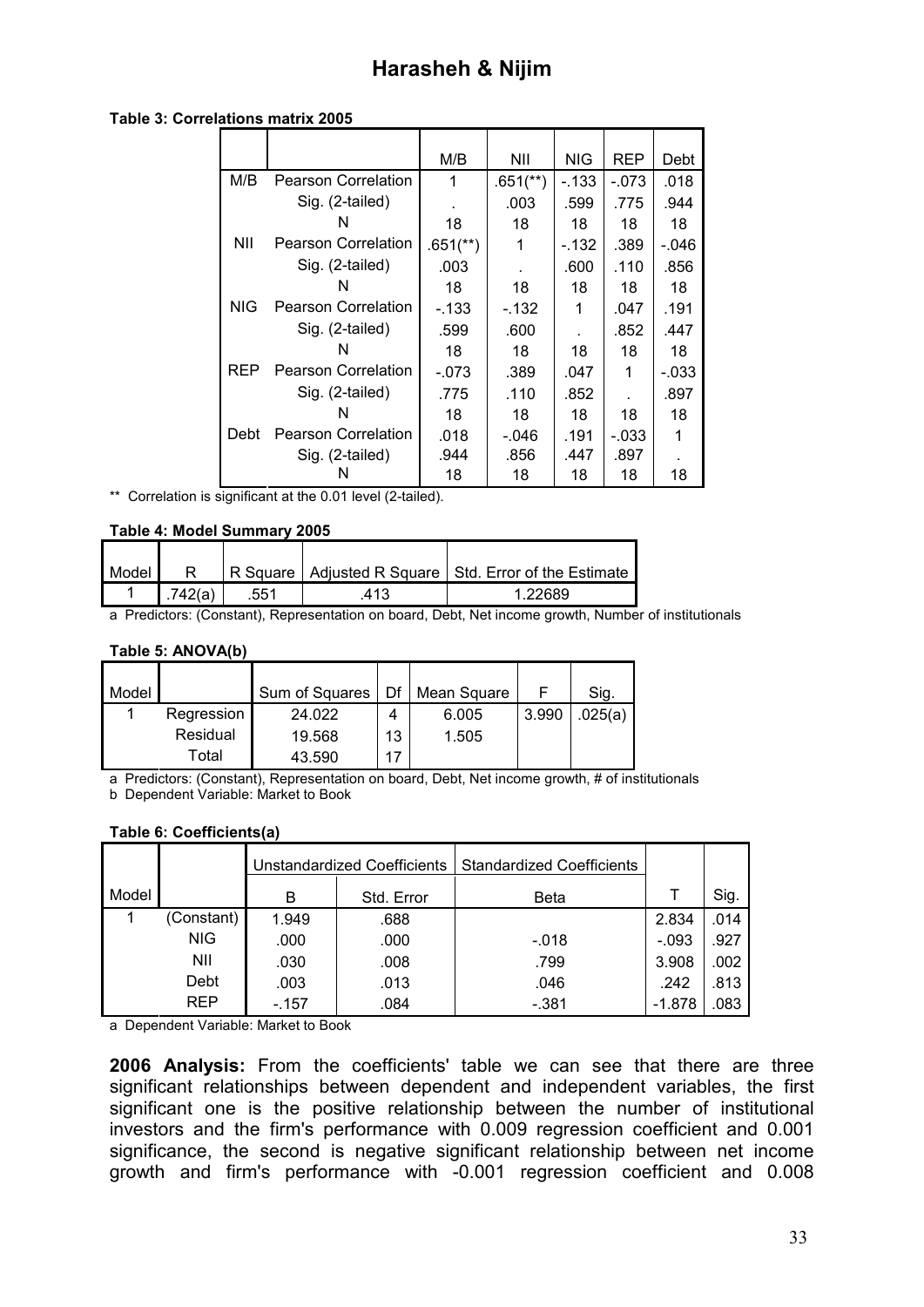|            |                            | M/B                    | NII                    | <b>NIG</b> | <b>REP</b> | Debt    |
|------------|----------------------------|------------------------|------------------------|------------|------------|---------|
| M/B        | <b>Pearson Correlation</b> | 1                      | $.651$ <sup>**</sup> ) | $-133$     | $-.073$    | .018    |
|            | Sig. (2-tailed)            |                        | .003                   | .599       | .775       | .944    |
|            | N                          | 18                     | 18                     | 18         | 18         | 18      |
| NII        | <b>Pearson Correlation</b> | $.651$ <sup>**</sup> ) | 1                      | $-132$     | .389       | $-.046$ |
|            | Sig. (2-tailed)            | .003                   |                        | .600       | .110       | .856    |
|            | N                          | 18                     | 18                     | 18         | 18         | 18      |
| <b>NIG</b> | <b>Pearson Correlation</b> | $-133$                 | $-132$                 | 1          | .047       | .191    |
|            | Sig. (2-tailed)            | .599                   | .600                   |            | .852       | .447    |
|            | N                          | 18                     | 18                     | 18         | 18         | 18      |
| <b>REP</b> | <b>Pearson Correlation</b> | $-.073$                | .389                   | .047       | 1          | $-.033$ |
|            | Sig. (2-tailed)            | .775                   | .110                   | .852       |            | .897    |
|            | N                          | 18                     | 18                     | 18         | 18         | 18      |
| Debt       | <b>Pearson Correlation</b> | .018                   | $-.046$                | .191       | $-.033$    |         |
|            | Sig. (2-tailed)            | .944                   | .856                   | .447       | .897       |         |
|            |                            | 18                     | 18                     | 18         | 18         | 18      |

#### **Table 3: Correlations matrix 2005**

\*\* Correlation is significant at the 0.01 level (2-tailed).

### **Table 4: Model Summary 2005**

| Model |         |      |      | R Square   Adjusted R Square   Std. Error of the Estimate |
|-------|---------|------|------|-----------------------------------------------------------|
|       | .742(a) | .551 | .413 | 1.22689                                                   |

a Predictors: (Constant), Representation on board, Debt, Net income growth, Number of institutionals

#### **Table 5: ANOVA(b)**

| l Model |            | Sum of Squares | Df | Mean Square |       | Sig.    |
|---------|------------|----------------|----|-------------|-------|---------|
|         | Regression | 24.022         | 4  | 6.005       | 3.990 | .025(a) |
|         | Residual   | 19.568         | 13 | 1.505       |       |         |
|         | Total      | 43.590         | 17 |             |       |         |

a Predictors: (Constant), Representation on board, Debt, Net income growth, # of institutionals b Dependent Variable: Market to Book

### **Table 6: Coefficients(a)**

|       |            |        | <b>Unstandardized Coefficients</b> | <b>Standardized Coefficients</b> |         |      |
|-------|------------|--------|------------------------------------|----------------------------------|---------|------|
| Model |            | В      | Std. Error                         | <b>Beta</b>                      |         | Sig. |
|       | (Constant) | 1.949  | .688                               |                                  | 2.834   | .014 |
|       | <b>NIG</b> | .000   | .000                               | $-.018$                          | $-.093$ | .927 |
|       | NII        | .030   | .008                               | .799                             | 3.908   | .002 |
|       | Debt       | .003   | .013                               | .046                             | .242    | .813 |
|       | REP        | $-157$ | .084                               | $-.381$                          | -1.878  | .083 |

a Dependent Variable: Market to Book

**2006 Analysis:** From the coefficients' table we can see that there are three significant relationships between dependent and independent variables, the first significant one is the positive relationship between the number of institutional investors and the firm's performance with 0.009 regression coefficient and 0.001 significance, the second is negative significant relationship between net income growth and firm's performance with -0.001 regression coefficient and 0.008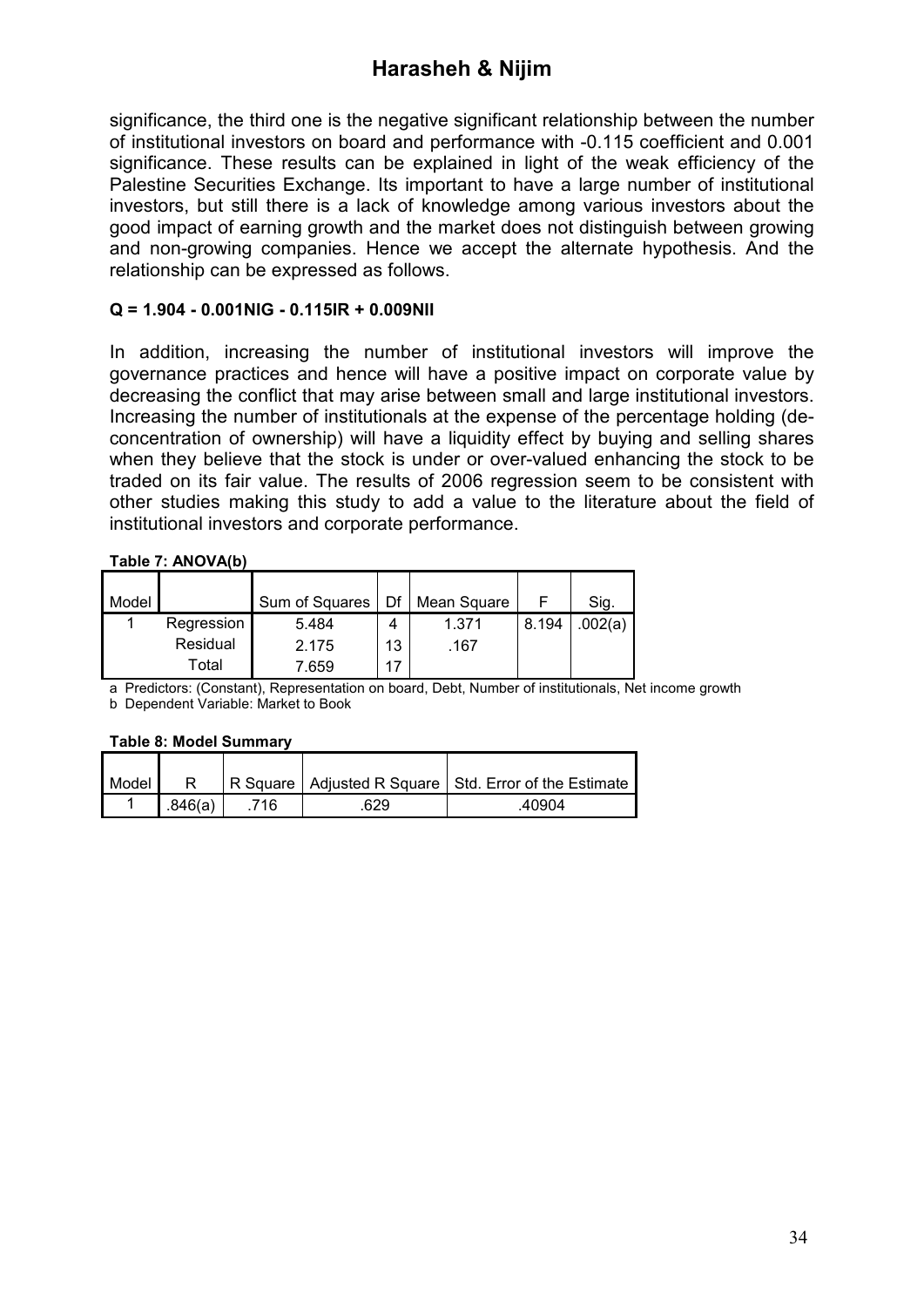significance, the third one is the negative significant relationship between the number of institutional investors on board and performance with -0.115 coefficient and 0.001 significance. These results can be explained in light of the weak efficiency of the Palestine Securities Exchange. Its important to have a large number of institutional investors, but still there is a lack of knowledge among various investors about the good impact of earning growth and the market does not distinguish between growing and non-growing companies. Hence we accept the alternate hypothesis. And the relationship can be expressed as follows.

### **Q = 1.904 - 0.001NIG - 0.115IR + 0.009NII**

In addition, increasing the number of institutional investors will improve the governance practices and hence will have a positive impact on corporate value by decreasing the conflict that may arise between small and large institutional investors. Increasing the number of institutionals at the expense of the percentage holding (deconcentration of ownership) will have a liquidity effect by buying and selling shares when they believe that the stock is under or over-valued enhancing the stock to be traded on its fair value. The results of 2006 regression seem to be consistent with other studies making this study to add a value to the literature about the field of institutional investors and corporate performance.

### **Table 7: ANOVA(b)**

| Model |            | Sum of Squares | Df | Mean Square |       | Sig.    |
|-------|------------|----------------|----|-------------|-------|---------|
|       | Regression | 5.484          | Δ  | 1.371       | 8.194 | .002(a) |
|       | Residual   | 2.175          | 13 | .167        |       |         |
|       | Total      | 7.659          | 17 |             |       |         |

a Predictors: (Constant), Representation on board, Debt, Number of institutionals, Net income growth b Dependent Variable: Market to Book

### **Table 8: Model Summary**

| Model |         |     |     | R Square   Adjusted R Square   Std. Error of the Estimate |
|-------|---------|-----|-----|-----------------------------------------------------------|
|       | .846(a) | 716 | 629 | 40904                                                     |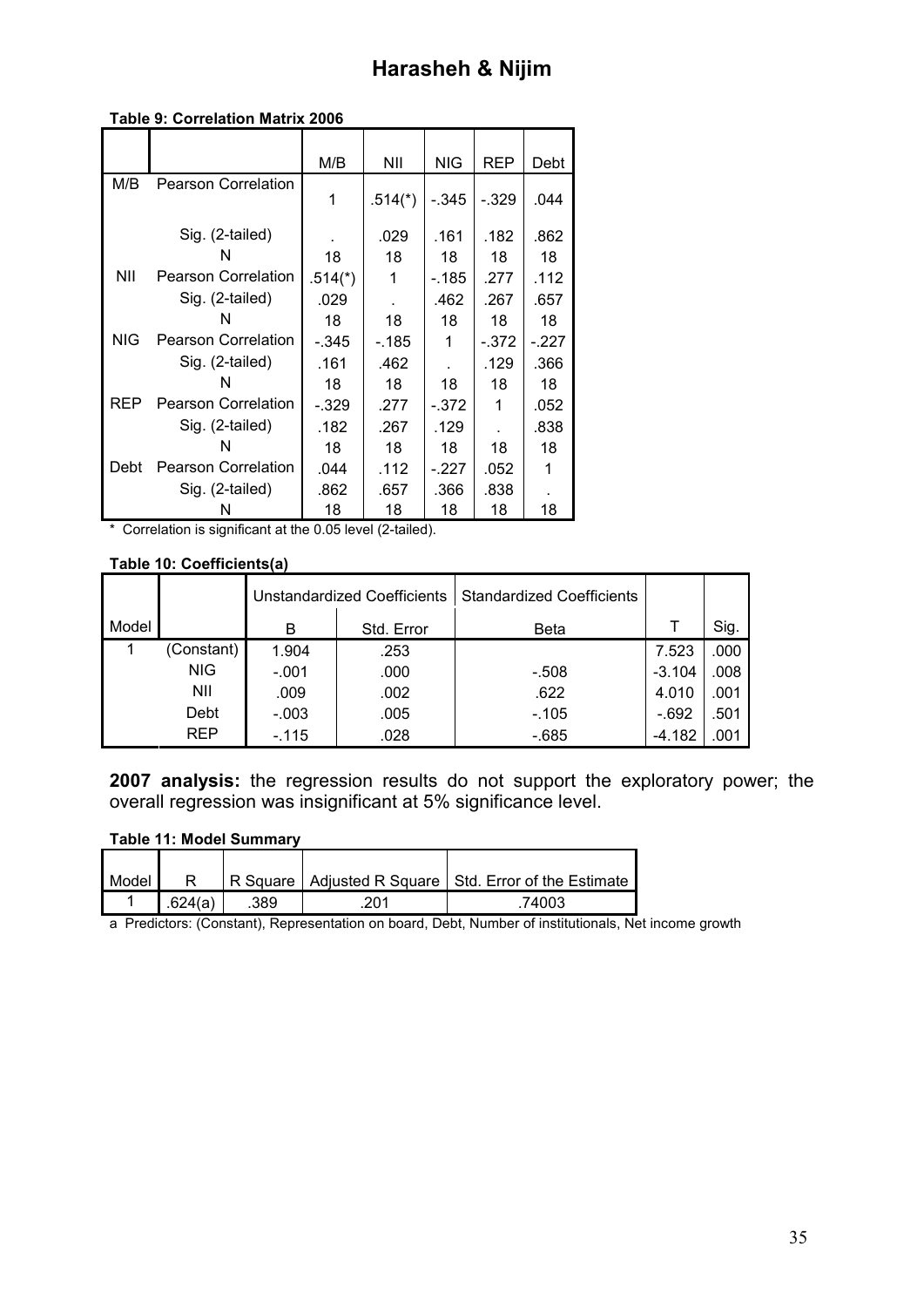#### **Table 9: Correlation Matrix 2006**

|            |                            | M/B       | ΝIΙ       | <b>NIG</b> | <b>REP</b> | Debt    |
|------------|----------------------------|-----------|-----------|------------|------------|---------|
| M/B        | <b>Pearson Correlation</b> |           |           |            |            |         |
|            |                            | 1         | $.514(*)$ | $-.345$    | $-.329$    | .044    |
|            | Sig. (2-tailed)            |           | .029      | .161       | .182       | .862    |
|            | N                          | 18        | 18        | 18         | 18         | 18      |
| ΝIΙ        | <b>Pearson Correlation</b> | $.514(*)$ | 1         | $-185$     | .277       | .112    |
|            | Sig. (2-tailed)            | .029      |           | .462       | .267       | .657    |
|            | N                          | 18        | 18        | 18         | 18         | 18      |
| <b>NIG</b> | <b>Pearson Correlation</b> | $-.345$   | $-185$    | 1          | $-.372$    | $-.227$ |
|            | Sig. (2-tailed)            | .161      | .462      |            | .129       | .366    |
|            | N                          | 18        | 18        | 18         | 18         | 18      |
| REP        | <b>Pearson Correlation</b> | $-.329$   | .277      | $-.372$    | 1          | .052    |
|            | Sig. (2-tailed)            | .182      | .267      | .129       |            | .838    |
|            | N                          | 18        | 18        | 18         | 18         | 18      |
| Debt       | <b>Pearson Correlation</b> | .044      | .112      | $-.227$    | .052       | 1       |
|            | Sig. (2-tailed)            | .862      | .657      | .366       | .838       |         |
|            |                            | 18        | 18        | 18         | 18         | 18      |

\* Correlation is significant at the 0.05 level (2-tailed).

#### **Table 10: Coefficients(a)**

|       |            |         | Unstandardized Coefficients | <b>Standardized Coefficients</b> |          |      |
|-------|------------|---------|-----------------------------|----------------------------------|----------|------|
| Model |            | B       | Std. Error                  | <b>Beta</b>                      |          | Sig. |
|       | (Constant) | 1.904   | .253                        |                                  | 7.523    | .000 |
|       | <b>NIG</b> | $-.001$ | .000                        | $-.508$                          | $-3.104$ | .008 |
|       | NII        | .009    | .002                        | .622                             | 4.010    | .001 |
|       | Debt       | $-.003$ | .005                        | $-.105$                          | $-.692$  | .501 |
|       | <b>REP</b> | $-115$  | .028                        | $-685$                           | -4.182   | .001 |

**2007 analysis:** the regression results do not support the exploratory power; the overall regression was insignificant at 5% significance level.

### **Table 11: Model Summary**

| Model | R        |      |     | R Square   Adjusted R Square   Std. Error of the Estimate |
|-------|----------|------|-----|-----------------------------------------------------------|
|       | L.624(a) | .389 | 201 | 74003                                                     |

a Predictors: (Constant), Representation on board, Debt, Number of institutionals, Net income growth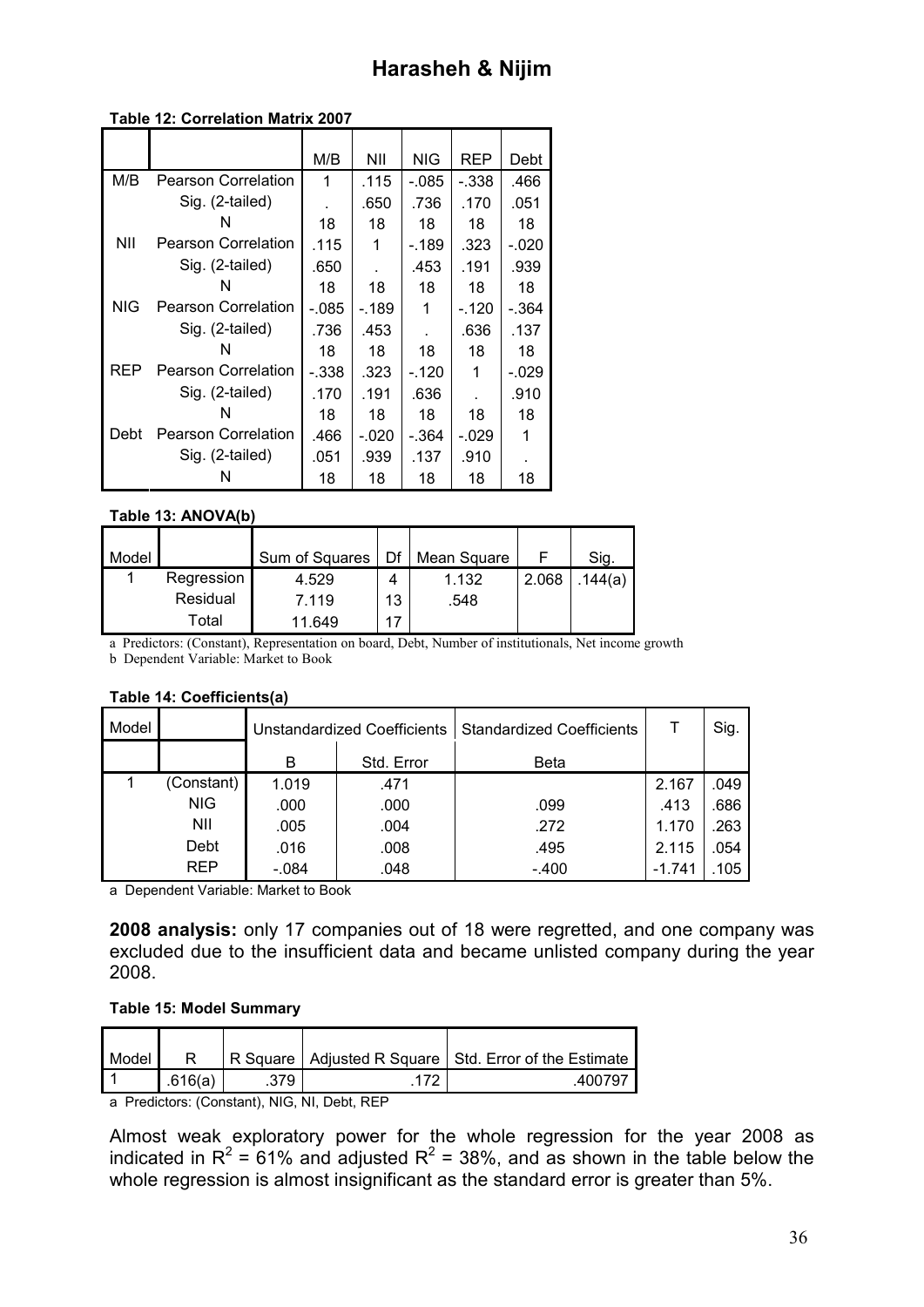### **Table 12: Correlation Matrix 2007**

|            |                            | M/B     | NII     | NIG     | REP     | Debt    |
|------------|----------------------------|---------|---------|---------|---------|---------|
| M/B        | <b>Pearson Correlation</b> | 1       | .115    | - 085   | -.338   | .466    |
|            | Sig. (2-tailed)            |         | .650    | .736    | .170    | .051    |
|            | N                          | 18      | 18      | 18      | 18      | 18      |
| ΝIΙ        | <b>Pearson Correlation</b> | .115    | 1       | $-189$  | .323    | $-.020$ |
|            | Sig. (2-tailed)            | .650    |         | .453    | .191    | .939    |
|            | N                          | 18      | 18      | 18      | 18      | 18      |
| <b>NIG</b> | <b>Pearson Correlation</b> | -.085   | - 189   | 1       | $-.120$ | -.364   |
|            | Sig. (2-tailed)            | .736    | .453    |         | .636    | .137    |
|            | N                          | 18      | 18      | 18      | 18      | 18      |
| REP        | <b>Pearson Correlation</b> | $-.338$ | .323    | $-.120$ | 1       | $-.029$ |
|            | Sig. (2-tailed)            | .170    | .191    | .636    |         | .910    |
|            | N                          | 18      | 18      | 18      | 18      | 18      |
| Debt       | Pearson Correlation        | .466    | $-.020$ | - 364   | $-.029$ | 1       |
|            | Sig. (2-tailed)            | .051    | .939    | .137    | .910    |         |
|            | N                          | 18      | 18      | 18      | 18      | 18      |

#### **Table 13: ANOVA(b)**

| Model |            | Sum of Squares | Df | Mean Square |       | Sig.    |
|-------|------------|----------------|----|-------------|-------|---------|
|       | Regression | 4.529          | 4  | 1.132       | 2.068 | .144(a) |
|       | Residual   | 7.119          | 13 | .548        |       |         |
|       | Total      | 11.649         |    |             |       |         |

a Predictors: (Constant), Representation on board, Debt, Number of institutionals, Net income growth

b Dependent Variable: Market to Book

#### **Table 14: Coefficients(a)**

| Model |            | <b>Unstandardized Coefficients</b> |            | <b>Standardized Coefficients</b> |          | Sig. |
|-------|------------|------------------------------------|------------|----------------------------------|----------|------|
|       |            | в                                  | Std. Error | <b>Beta</b>                      |          |      |
|       | (Constant) | 1.019                              | .471       |                                  | 2.167    | .049 |
|       | <b>NIG</b> | .000                               | .000       | .099                             | .413     | .686 |
|       | NII        | .005                               | .004       | .272                             | 1.170    | .263 |
|       | Debt       | .016                               | .008       | .495                             | 2.115    | .054 |
|       | <b>REP</b> | $-.084$                            | .048       | $-.400$                          | $-1.741$ | .105 |

a Dependent Variable: Market to Book

**2008 analysis:** only 17 companies out of 18 were regretted, and one company was excluded due to the insufficient data and became unlisted company during the year 2008.

### **Table 15: Model Summary**

| Model |         |     | R Square   Adjusted R Square   Std. Error of the Estimate |
|-------|---------|-----|-----------------------------------------------------------|
|       |         |     |                                                           |
|       | .616(a) | 379 | 400797                                                    |

a Predictors: (Constant), NIG, NI, Debt, REP

Almost weak exploratory power for the whole regression for the year 2008 as indicated in R<sup>2</sup> = 61% and adjusted R<sup>2</sup> = 38%, and as shown in the table below the whole regression is almost insignificant as the standard error is greater than 5%.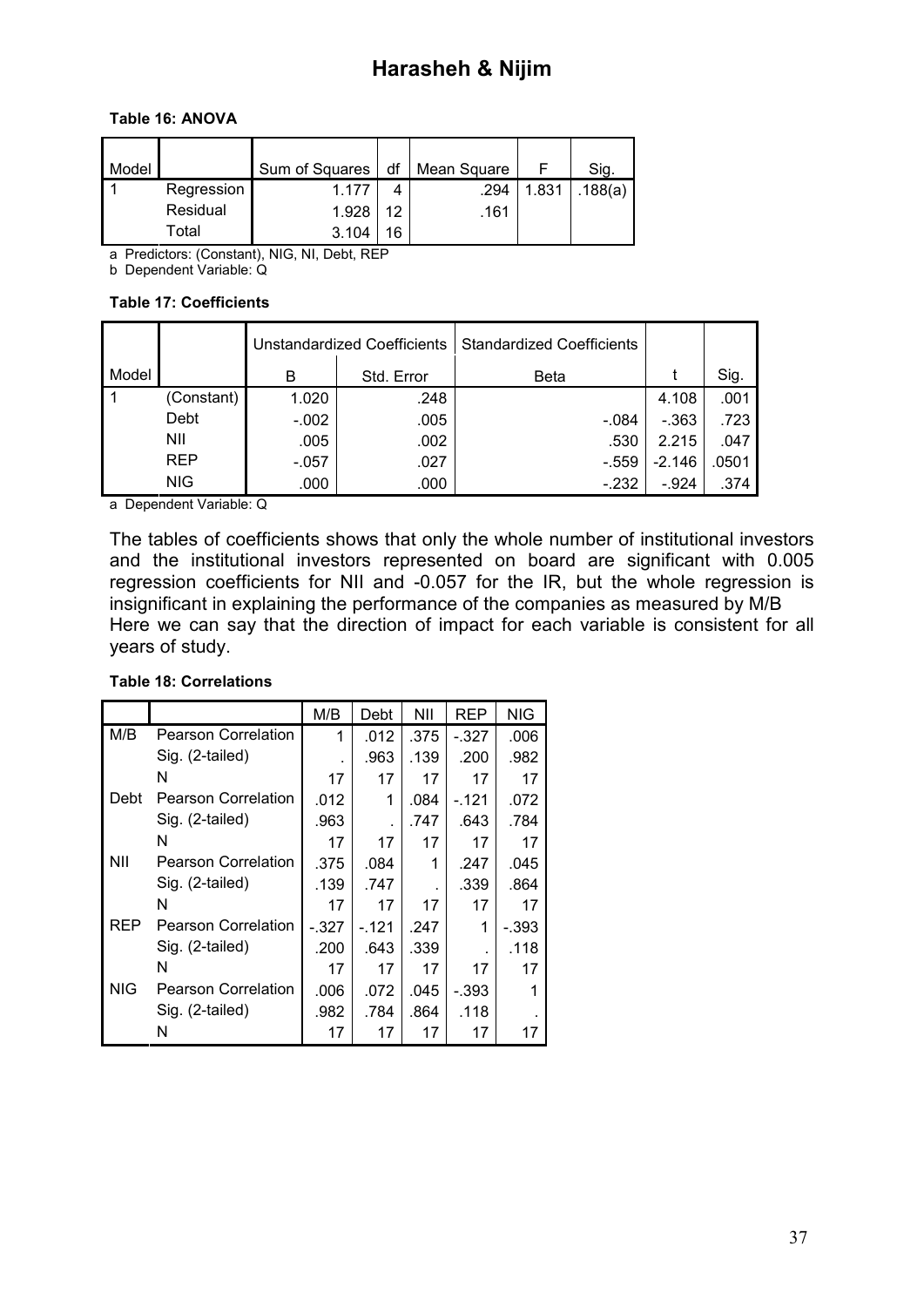### **Table 16: ANOVA**

| Model |            | Sum of Squares | df | Mean Square |       | Sig.    |
|-------|------------|----------------|----|-------------|-------|---------|
|       | Regression | 1 177          | 4  | .294        | 1.831 | .188(a) |
|       | Residual   | 1.928          | 12 | .161        |       |         |
|       | Total      | 3.104          | 16 |             |       |         |

a Predictors: (Constant), NIG, NI, Debt, REP

b Dependent Variable: Q

### **Table 17: Coefficients**

|       |            |         | <b>Unstandardized Coefficients</b> | <b>Standardized Coefficients</b> |          |       |
|-------|------------|---------|------------------------------------|----------------------------------|----------|-------|
| Model |            | В       | Std. Error                         | <b>Beta</b>                      |          | Sig.  |
| -1    | (Constant) | 1.020   | .248                               |                                  | 4.108    | .001  |
|       | Debt       | $-.002$ | .005                               | $-.084$                          | $-363$   | .723  |
|       | NII        | .005    | .002                               | .530                             | 2.215    | .047  |
|       | <b>REP</b> | $-.057$ | .027                               | $-.559$                          | $-2.146$ | .0501 |
|       | <b>NIG</b> | .000    | .000                               | $-.232$                          | $-924$   | .374  |

a Dependent Variable: Q

The tables of coefficients shows that only the whole number of institutional investors and the institutional investors represented on board are significant with 0.005 regression coefficients for NII and -0.057 for the IR, but the whole regression is insignificant in explaining the performance of the companies as measured by M/B Here we can say that the direction of impact for each variable is consistent for all years of study.

### **Table 18: Correlations**

|      |                            | M/B     | Debt  | NII  | REP     | <b>NIG</b> |
|------|----------------------------|---------|-------|------|---------|------------|
| M/B  | <b>Pearson Correlation</b> | 1       | .012  | .375 | $-.327$ | .006       |
|      | Sig. (2-tailed)            |         | .963  | .139 | .200    | .982       |
|      | N                          | 17      | 17    | 17   | 17      | 17         |
| Debt | <b>Pearson Correlation</b> | .012    | 1     | .084 | $-121$  | .072       |
|      | Sig. (2-tailed)            | .963    |       | .747 | .643    | .784       |
|      | N                          | 17      | 17    | 17   | 17      | 17         |
| NII  | <b>Pearson Correlation</b> | .375    | .084  | 1    | .247    | .045       |
|      | Sig. (2-tailed)            | .139    | .747  |      | .339    | .864       |
|      | N                          | 17      | 17    | 17   | 17      | 17         |
| REP  | <b>Pearson Correlation</b> | $-.327$ | -.121 | .247 | 1       | - 393      |
|      | Sig. (2-tailed)            | .200    | .643  | .339 |         | .118       |
|      | N                          | 17      | 17    | 17   | 17      | 17         |
| NIG  | <b>Pearson Correlation</b> | .006    | .072  | .045 | - 393   | 1          |
|      | Sig. (2-tailed)            | .982    | .784  | .864 | .118    |            |
|      | N                          | 17      | 17    | 17   | 17      | 17         |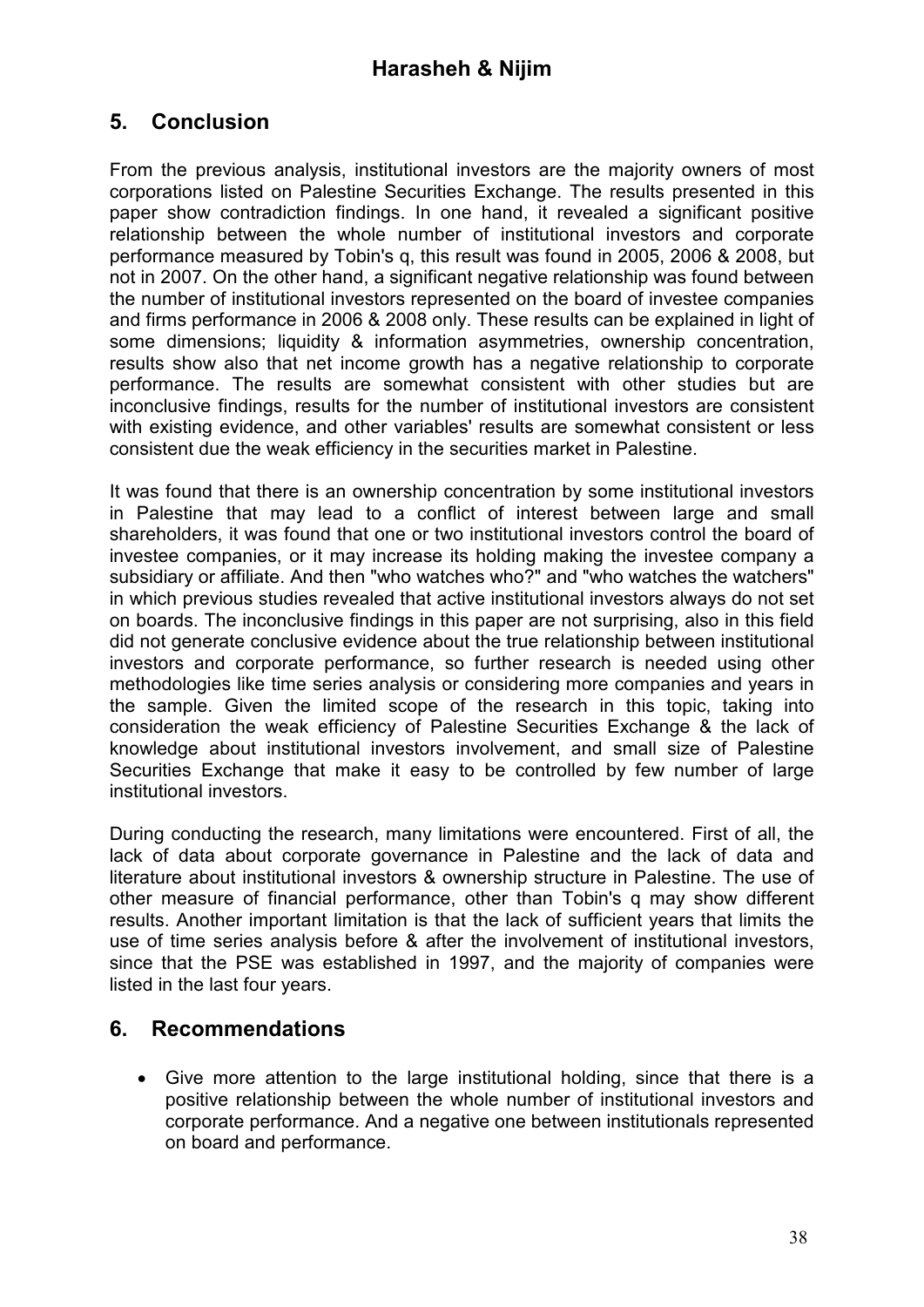# **5. Conclusion**

From the previous analysis, institutional investors are the majority owners of most corporations listed on Palestine Securities Exchange. The results presented in this paper show contradiction findings. In one hand, it revealed a significant positive relationship between the whole number of institutional investors and corporate performance measured by Tobin's q, this result was found in 2005, 2006 & 2008, but not in 2007. On the other hand, a significant negative relationship was found between the number of institutional investors represented on the board of investee companies and firms performance in 2006 & 2008 only. These results can be explained in light of some dimensions; liquidity & information asymmetries, ownership concentration, results show also that net income growth has a negative relationship to corporate performance. The results are somewhat consistent with other studies but are inconclusive findings, results for the number of institutional investors are consistent with existing evidence, and other variables' results are somewhat consistent or less consistent due the weak efficiency in the securities market in Palestine.

It was found that there is an ownership concentration by some institutional investors in Palestine that may lead to a conflict of interest between large and small shareholders, it was found that one or two institutional investors control the board of investee companies, or it may increase its holding making the investee company a subsidiary or affiliate. And then "who watches who?" and "who watches the watchers" in which previous studies revealed that active institutional investors always do not set on boards. The inconclusive findings in this paper are not surprising, also in this field did not generate conclusive evidence about the true relationship between institutional investors and corporate performance, so further research is needed using other methodologies like time series analysis or considering more companies and years in the sample. Given the limited scope of the research in this topic, taking into consideration the weak efficiency of Palestine Securities Exchange & the lack of knowledge about institutional investors involvement, and small size of Palestine Securities Exchange that make it easy to be controlled by few number of large institutional investors.

During conducting the research, many limitations were encountered. First of all, the lack of data about corporate governance in Palestine and the lack of data and literature about institutional investors & ownership structure in Palestine. The use of other measure of financial performance, other than Tobin's q may show different results. Another important limitation is that the lack of sufficient years that limits the use of time series analysis before & after the involvement of institutional investors, since that the PSE was established in 1997, and the majority of companies were listed in the last four years.

### **6. Recommendations**

• Give more attention to the large institutional holding, since that there is a positive relationship between the whole number of institutional investors and corporate performance. And a negative one between institutionals represented on board and performance.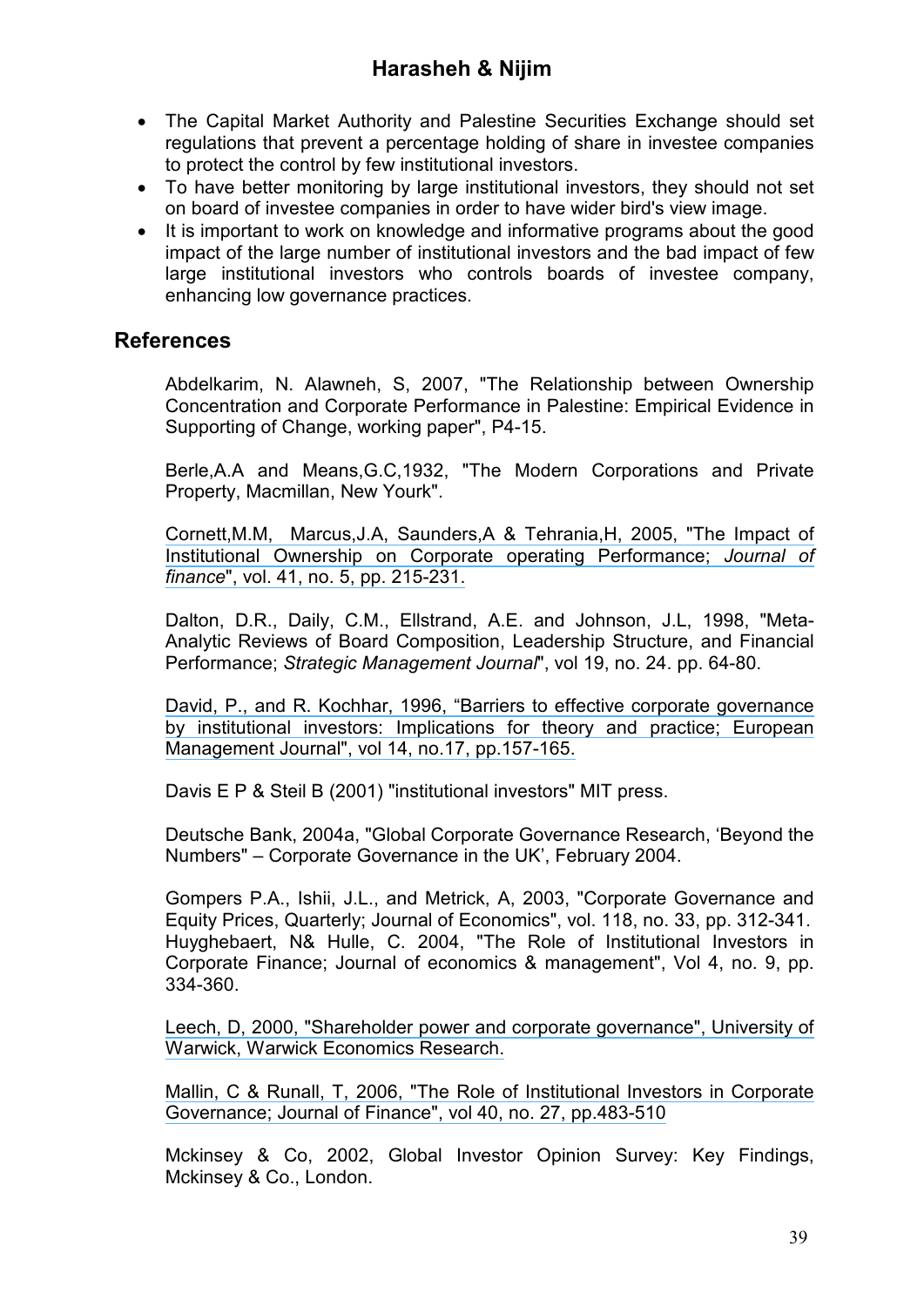- The Capital Market Authority and Palestine Securities Exchange should set regulations that prevent a percentage holding of share in investee companies to protect the control by few institutional investors.
- To have better monitoring by large institutional investors, they should not set on board of investee companies in order to have wider bird's view image.
- It is important to work on knowledge and informative programs about the good impact of the large number of institutional investors and the bad impact of few large institutional investors who controls boards of investee company, enhancing low governance practices.

### **References**

Abdelkarim, N. Alawneh, S, 2007, "The Relationship between Ownership Concentration and Corporate Performance in Palestine: Empirical Evidence in Supporting of Change, working paper", P4-15.

Berle,A.A and Means,G.C,1932, "The Modern Corporations and Private Property, Macmillan, New Yourk".

[Cornett,M.M, Marcus,J.A, Saunders,A & Tehrania,H, 2005, "The Impact of](https://www.researchgate.net/publication/222533205_The_Impact_of_Institutional_Ownership_on_Corporate_Operating_Performance?el=1_x_8&enrichId=rgreq-e67575f18e600f659a4dccc5cd1c6526-XXX&enrichSource=Y292ZXJQYWdlOzI2NTQ5ODY4MDtBUzoxNTc3NTA0NzQ1ODQwNjRAMTQxNDYyMjA1Mjc3MA==)  [Institutional Ownership on Corporate operating Performance;](https://www.researchgate.net/publication/222533205_The_Impact_of_Institutional_Ownership_on_Corporate_Operating_Performance?el=1_x_8&enrichId=rgreq-e67575f18e600f659a4dccc5cd1c6526-XXX&enrichSource=Y292ZXJQYWdlOzI2NTQ5ODY4MDtBUzoxNTc3NTA0NzQ1ODQwNjRAMTQxNDYyMjA1Mjc3MA==) *Journal of finance*[", vol. 41, no. 5, pp. 215-231.](https://www.researchgate.net/publication/222533205_The_Impact_of_Institutional_Ownership_on_Corporate_Operating_Performance?el=1_x_8&enrichId=rgreq-e67575f18e600f659a4dccc5cd1c6526-XXX&enrichSource=Y292ZXJQYWdlOzI2NTQ5ODY4MDtBUzoxNTc3NTA0NzQ1ODQwNjRAMTQxNDYyMjA1Mjc3MA==)

Dalton, D.R., Daily, C.M., Ellstrand, A.E. and Johnson, J.L, 1998, "Meta-Analytic Reviews of Board Composition, Leadership Structure, and Financial Performance; *Strategic Management Journal*", vol 19, no. 24. pp. 64-80.

[David, P., and R. Kochhar, 1996, "Barriers to effective corporate governance](https://www.researchgate.net/publication/222455904_Barriers_to_Effective_Corporate_Governance_by_Institutional_Investors_Implications_for_Theory_and_Practice?el=1_x_8&enrichId=rgreq-e67575f18e600f659a4dccc5cd1c6526-XXX&enrichSource=Y292ZXJQYWdlOzI2NTQ5ODY4MDtBUzoxNTc3NTA0NzQ1ODQwNjRAMTQxNDYyMjA1Mjc3MA==)  [by institutional investors: Implications for theory and practice; European](https://www.researchgate.net/publication/222455904_Barriers_to_Effective_Corporate_Governance_by_Institutional_Investors_Implications_for_Theory_and_Practice?el=1_x_8&enrichId=rgreq-e67575f18e600f659a4dccc5cd1c6526-XXX&enrichSource=Y292ZXJQYWdlOzI2NTQ5ODY4MDtBUzoxNTc3NTA0NzQ1ODQwNjRAMTQxNDYyMjA1Mjc3MA==)  [Management Journal", vol 14, no.17, pp.157-165.](https://www.researchgate.net/publication/222455904_Barriers_to_Effective_Corporate_Governance_by_Institutional_Investors_Implications_for_Theory_and_Practice?el=1_x_8&enrichId=rgreq-e67575f18e600f659a4dccc5cd1c6526-XXX&enrichSource=Y292ZXJQYWdlOzI2NTQ5ODY4MDtBUzoxNTc3NTA0NzQ1ODQwNjRAMTQxNDYyMjA1Mjc3MA==) 

Davis E P & Steil B (2001) "institutional investors" MIT press.

Deutsche Bank, 2004a, "Global Corporate Governance Research, 'Beyond the Numbers" – Corporate Governance in the UK', February 2004.

Gompers P.A., Ishii, J.L., and Metrick, A, 2003, "Corporate Governance and Equity Prices, Quarterly; Journal of Economics", vol. 118, no. 33, pp. 312-341. Huyghebaert, N& Hulle, C. 2004, "The Role of Institutional Investors in Corporate Finance; Journal of economics & management", Vol 4, no. 9, pp. 334-360.

[Leech, D, 2000, "Shareholder power and corporate governance", University of](https://www.researchgate.net/publication/23750371_Shareholder_Power_and_Corporate_Governance?el=1_x_8&enrichId=rgreq-e67575f18e600f659a4dccc5cd1c6526-XXX&enrichSource=Y292ZXJQYWdlOzI2NTQ5ODY4MDtBUzoxNTc3NTA0NzQ1ODQwNjRAMTQxNDYyMjA1Mjc3MA==)  [Warwick, Warwick Economics Research.](https://www.researchgate.net/publication/23750371_Shareholder_Power_and_Corporate_Governance?el=1_x_8&enrichId=rgreq-e67575f18e600f659a4dccc5cd1c6526-XXX&enrichSource=Y292ZXJQYWdlOzI2NTQ5ODY4MDtBUzoxNTc3NTA0NzQ1ODQwNjRAMTQxNDYyMjA1Mjc3MA==)

[Mallin, C & Runall, T, 2006, "The Role of Institutional Investors in Corporate](https://www.researchgate.net/publication/299691681_The_Role_of_Institutional_Investors_in_the_Corporate_Governance_of_Financial_Institutions_the_UK_Case?el=1_x_8&enrichId=rgreq-e67575f18e600f659a4dccc5cd1c6526-XXX&enrichSource=Y292ZXJQYWdlOzI2NTQ5ODY4MDtBUzoxNTc3NTA0NzQ1ODQwNjRAMTQxNDYyMjA1Mjc3MA==)  [Governance; Journal of Finance", vol 40, no. 27, pp.483-510](https://www.researchgate.net/publication/299691681_The_Role_of_Institutional_Investors_in_the_Corporate_Governance_of_Financial_Institutions_the_UK_Case?el=1_x_8&enrichId=rgreq-e67575f18e600f659a4dccc5cd1c6526-XXX&enrichSource=Y292ZXJQYWdlOzI2NTQ5ODY4MDtBUzoxNTc3NTA0NzQ1ODQwNjRAMTQxNDYyMjA1Mjc3MA==)

Mckinsey & Co, 2002, Global Investor Opinion Survey: Key Findings, Mckinsey & Co., London.